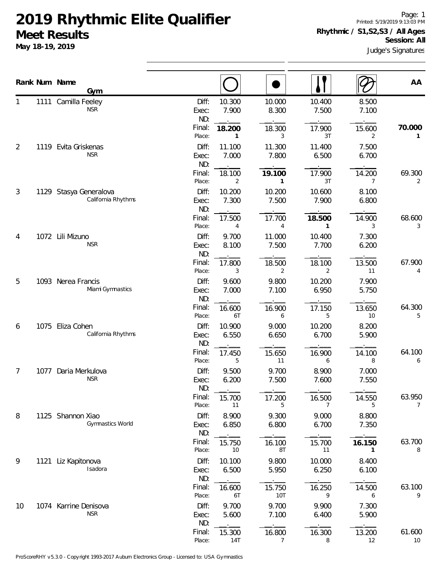**May 18-19, 2019**

Page: 1 Printed: 5/19/2019 9:13:03 PM **Rhythmic / S1,S2,S3 / All Ages Session: All**

Judge's Signatures

|                |      | Rank Num Name<br>Gym                         |                       |                 |                          |                 |                | AA                       |
|----------------|------|----------------------------------------------|-----------------------|-----------------|--------------------------|-----------------|----------------|--------------------------|
|                |      | 1111 Camilla Feeley<br><b>NSR</b>            | Diff:<br>Exec:<br>ND: | 10.300<br>7.900 | 10.000<br>8.300          | 10.400<br>7.500 | 8.500<br>7.100 |                          |
|                |      |                                              | Final:<br>Place:      | 18.200<br>1     | 18.300<br>3              | 17.900<br>3T    | 15.600<br>2    | 70.000<br>1              |
| $\overline{2}$ | 1119 | Evita Griskenas<br><b>NSR</b>                | Diff:<br>Exec:<br>ND: | 11.100<br>7.000 | 11.300<br>7.800          | 11.400<br>6.500 | 7.500<br>6.700 |                          |
|                |      |                                              | Final:<br>Place:      | 18.100<br>2     | 19.100<br>1              | 17.900<br>3T    | 14.200<br>7    | 69.300<br>2              |
| 3              |      | 1129 Stasya Generalova<br>California Rhythms | Diff:<br>Exec:<br>ND: | 10.200<br>7.300 | 10.200<br>7.500          | 10.600<br>7.900 | 8.100<br>6.800 |                          |
|                |      |                                              | Final:<br>Place:      | 17.500<br>4     | 17.700<br>$\overline{4}$ | 18.500<br>1     | 14.900<br>3    | 68.600<br>3              |
| 4              |      | 1072 Lili Mizuno<br><b>NSR</b>               | Diff:<br>Exec:<br>ND: | 9.700<br>8.100  | 11.000<br>7.500          | 10.400<br>7.700 | 7.300<br>6.200 |                          |
|                |      |                                              | Final:<br>Place:      | 17.800<br>3     | 18.500<br>2              | 18.100<br>2     | 13.500<br>11   | 67.900<br>4              |
| 5              |      | 1093 Nerea Francis<br>Miami Gymnastics       | Diff:<br>Exec:<br>ND: | 9.600<br>7.000  | 9.800<br>7.100           | 10.200<br>6.950 | 7.900<br>5.750 |                          |
|                |      |                                              | Final:<br>Place:      | 16.600<br>6T    | 16.900<br>6              | 17.150<br>5     | 13.650<br>10   | 64.300<br>5              |
| 6              | 1075 | Eliza Cohen<br>California Rhythms            | Diff:<br>Exec:<br>ND: | 10.900<br>6.550 | 9.000<br>6.650           | 10.200<br>6.700 | 8.200<br>5.900 |                          |
|                |      |                                              | Final:<br>Place:      | 17.450<br>5     | 15.650<br>11             | 16.900<br>6     | 14.100<br>8    | 64.100<br>6              |
| 7              | 1077 | Daria Merkulova<br><b>NSR</b>                | Diff:<br>Exec:<br>ND: | 9.500<br>6.200  | 9.700<br>7.500           | 8.900<br>7.600  | 7.000<br>7.550 |                          |
|                |      |                                              | Final:<br>Place:      | 15.700<br>11    | 17.200<br>5              | 16.500<br>7     | 14.550<br>5    | 63.950<br>$\overline{7}$ |
| 8              |      | 1125 Shannon Xiao<br>Gymnastics World        | Diff:<br>Exec:<br>ND: | 8.900<br>6.850  | 9.300<br>6.800           | 9.000<br>6.700  | 8.800<br>7.350 |                          |
|                |      |                                              | Final:<br>Place:      | 15.750<br>10    | 16.100<br>8T             | 15.700<br>11    | 16.150<br>1    | 63.700<br>8              |
| 9              |      | 1121 Liz Kapitonova<br>Isadora               | Diff:<br>Exec:<br>ND: | 10.100<br>6.500 | 9.800<br>5.950           | 10.000<br>6.250 | 8.400<br>6.100 |                          |
|                |      |                                              | Final:<br>Place:      | 16.600<br>6T    | 15.750<br>10T            | 16.250<br>9     | 14.500<br>6    | 63.100<br>9              |
| 10             |      | 1074 Karrine Denisova<br><b>NSR</b>          | Diff:<br>Exec:<br>ND: | 9.700<br>5.600  | 9.700<br>7.100           | 9.900<br>6.400  | 7.300<br>5.900 |                          |
|                |      |                                              | Final:<br>Place:      | 15.300<br>14T   | 16.800<br>7              | 16.300<br>8     | 13.200<br>12   | 61.600<br>10             |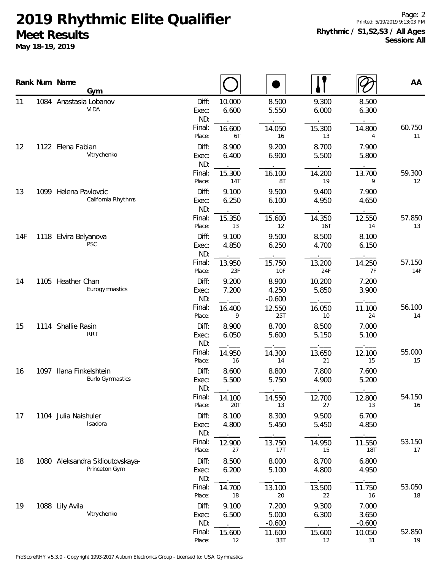**May 18-19, 2019**

Page: 2 Printed: 5/19/2019 9:13:03 PM **Rhythmic / S1,S2,S3 / All Ages Session: All**

|     |      | Rank Num Name<br>Gym                             |                       |                 |                            |                 |                            | AA            |
|-----|------|--------------------------------------------------|-----------------------|-----------------|----------------------------|-----------------|----------------------------|---------------|
| 11  |      | 1084 Anastasia Lobanov<br><b>VIDA</b>            | Diff:<br>Exec:<br>ND: | 10.000<br>6.600 | 8.500<br>5.550             | 9.300<br>6.000  | 8.500<br>6.300             |               |
|     |      |                                                  | Final:<br>Place:      | 16.600<br>6T    | 14.050<br>16               | 15.300<br>13    | 14.800<br>4                | 60.750<br>11  |
| 12  |      | 1122 Elena Fabian<br>Vitrychenko                 | Diff:<br>Exec:<br>ND: | 8.900<br>6.400  | 9.200<br>6.900             | 8.700<br>5.500  | 7.900<br>5.800             |               |
|     |      |                                                  | Final:<br>Place:      | 15.300<br>14T   | 16.100<br>8T               | 14.200<br>19    | 13.700<br>9                | 59.300<br>12  |
| 13  |      | 1099 Helena Pavlovcic<br>California Rhythms      | Diff:<br>Exec:<br>ND: | 9.100<br>6.250  | 9.500<br>6.100             | 9.400<br>4.950  | 7.900<br>4.650             |               |
|     |      |                                                  | Final:<br>Place:      | 15.350<br>13    | 15.600<br>12               | 14.350<br>16T   | 12.550<br>14               | 57.850<br>13  |
| 14F |      | 1118 Elvira Belyanova<br><b>PSC</b>              | Diff:<br>Exec:<br>ND: | 9.100<br>4.850  | 9.500<br>6.250             | 8.500<br>4.700  | 8.100<br>6.150             |               |
|     |      |                                                  | Final:<br>Place:      | 13.950<br>23F   | 15.750<br>10F              | 13.200<br>24F   | 14.250<br>7F               | 57.150<br>14F |
| 14  |      | 1105 Heather Chan<br>Eurogymnastics              | Diff:<br>Exec:<br>ND: | 9.200<br>7.200  | 8.900<br>4.250<br>$-0.600$ | 10.200<br>5.850 | 7.200<br>3.900             |               |
|     |      |                                                  | Final:<br>Place:      | 16.400<br>9     | 12.550<br>25T              | 16.050<br>10    | 11.100<br>24               | 56.100<br>14  |
| 15  |      | 1114 Shallie Rasin<br><b>RRT</b>                 | Diff:<br>Exec:<br>ND: | 8.900<br>6.050  | 8.700<br>5.600             | 8.500<br>5.150  | 7.000<br>5.100             |               |
|     |      |                                                  | Final:<br>Place:      | 14.950<br>16    | 14.300<br>14               | 13.650<br>21    | 12.100<br>15               | 55.000<br>15  |
| 16  | 1097 | Ilana Finkelshtein<br><b>Burlo Gymnastics</b>    | Diff:<br>Exec:<br>ND: | 8.600<br>5.500  | 8.800<br>5.750             | 7.800<br>4.900  | 7.600<br>5.200             |               |
|     |      |                                                  | Final:<br>Place:      | 14.100<br>20T   | 14.550<br>13               | 12.700<br>27    | 12.800<br>13               | 54.150<br>16  |
| 17  |      | 1104 Julia Naishuler<br>Isadora                  | Diff:<br>Exec:<br>ND: | 8.100<br>4.800  | 8.300<br>5.450             | 9.500<br>5.450  | 6.700<br>4.850             |               |
|     |      |                                                  | Final:<br>Place:      | 12.900<br>27    | 13.750<br>17T              | 14.950<br>15    | 11.550<br><b>18T</b>       | 53.150<br>17  |
| 18  |      | 1080 Aleksandra Sklioutovskaya-<br>Princeton Gym | Diff:<br>Exec:<br>ND: | 8.500<br>6.200  | 8.000<br>5.100             | 8.700<br>4.800  | 6.800<br>4.950             |               |
|     |      |                                                  | Final:<br>Place:      | 14.700<br>18    | 13.100<br>20               | 13.500<br>22    | 11.750<br>16               | 53.050<br>18  |
| 19  |      | 1088 Lily Avila<br>Vitrychenko                   | Diff:<br>Exec:<br>ND: | 9.100<br>6.500  | 7.200<br>5.000<br>$-0.600$ | 9.300<br>6.300  | 7.000<br>3.650<br>$-0.600$ |               |
|     |      |                                                  | Final:<br>Place:      | 15.600<br>12    | 11.600<br>33T              | 15.600<br>12    | 10.050<br>31               | 52.850<br>19  |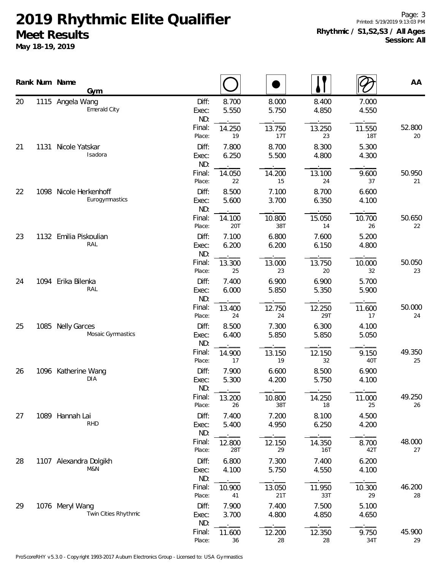**May 18-19, 2019**

Page: 3 Printed: 5/19/2019 9:13:03 PM **Rhythmic / S1,S2,S3 / All Ages Session: All**

|    | Rank Num Name<br>Gym                     |                       |                |                |                |                | AA           |
|----|------------------------------------------|-----------------------|----------------|----------------|----------------|----------------|--------------|
| 20 | 1115 Angela Wang<br>Emerald City         | Diff:<br>Exec:<br>ND: | 8.700<br>5.550 | 8.000<br>5.750 | 8.400<br>4.850 | 7.000<br>4.550 |              |
|    |                                          | Final:<br>Place:      | 14.250<br>19   | 13.750<br>17T  | 13.250<br>23   | 11.550<br>18T  | 52.800<br>20 |
| 21 | 1131 Nicole Yatskar<br>Isadora           | Diff:<br>Exec:<br>ND: | 7.800<br>6.250 | 8.700<br>5.500 | 8.300<br>4.800 | 5.300<br>4.300 |              |
|    |                                          | Final:<br>Place:      | 14.050<br>22   | 14.200<br>15   | 13.100<br>24   | 9.600<br>37    | 50.950<br>21 |
| 22 | 1098 Nicole Herkenhoff<br>Eurogymnastics | Diff:<br>Exec:<br>ND: | 8.500<br>5.600 | 7.100<br>3.700 | 8.700<br>6.350 | 6.600<br>4.100 |              |
|    |                                          | Final:<br>Place:      | 14.100<br>20T  | 10.800<br>38T  | 15.050<br>14   | 10.700<br>26   | 50.650<br>22 |
| 23 | 1132 Emilia Piskoulian<br>RAL            | Diff:<br>Exec:<br>ND: | 7.100<br>6.200 | 6.800<br>6.200 | 7.600<br>6.150 | 5.200<br>4.800 |              |
|    |                                          | Final:<br>Place:      | 13.300<br>25   | 13.000<br>23   | 13.750<br>20   | 10.000<br>32   | 50.050<br>23 |
| 24 | 1094 Erika Bilenka<br>RAL                | Diff:<br>Exec:<br>ND: | 7.400<br>6.000 | 6.900<br>5.850 | 6.900<br>5.350 | 5.700<br>5.900 |              |
|    |                                          | Final:<br>Place:      | 13.400<br>24   | 12.750<br>24   | 12.250<br>29T  | 11.600<br>17   | 50.000<br>24 |
| 25 | 1085 Nelly Garces<br>Mosaic Gymnastics   | Diff:<br>Exec:<br>ND: | 8.500<br>6.400 | 7.300<br>5.850 | 6.300<br>5.850 | 4.100<br>5.050 |              |
|    |                                          | Final:<br>Place:      | 14.900<br>17   | 13.150<br>19   | 12.150<br>32   | 9.150<br>40T   | 49.350<br>25 |
| 26 | 1096 Katherine Wang<br>DIA               | Diff:<br>Exec:<br>ND: | 7.900<br>5.300 | 6.600<br>4.200 | 8.500<br>5.750 | 6.900<br>4.100 |              |
|    |                                          | Final:<br>Place:      | 13.200<br>26   | 10.800<br>38T  | 14.250<br>18   | 11.000<br>25   | 49.250<br>26 |
| 27 | 1089 Hannah Lai<br><b>RHD</b>            | Diff:<br>Exec:<br>ND: | 7.400<br>5.400 | 7.200<br>4.950 | 8.100<br>6.250 | 4.500<br>4.200 |              |
|    |                                          | Final:<br>Place:      | 12.800<br>28T  | 12.150<br>29   | 14.350<br>16T  | 8.700<br>42T   | 48.000<br>27 |
| 28 | 1107 Alexandra Dolgikh<br>M&N            | Diff:<br>Exec:<br>ND: | 6.800<br>4.100 | 7.300<br>5.750 | 7.400<br>4.550 | 6.200<br>4.100 |              |
|    |                                          | Final:<br>Place:      | 10.900<br>$41$ | 13.050<br>21T  | 11.950<br>33T  | 10.300<br>29   | 46.200<br>28 |
| 29 | 1076 Meryl Wang<br>Twin Cities Rhythmic  | Diff:<br>Exec:<br>ND: | 7.900<br>3.700 | 7.400<br>4.800 | 7.500<br>4.850 | 5.100<br>4.650 |              |
|    |                                          | Final:<br>Place:      | 11.600<br>36   | 12.200<br>28   | 12.350<br>28   | 9.750<br>34T   | 45.900<br>29 |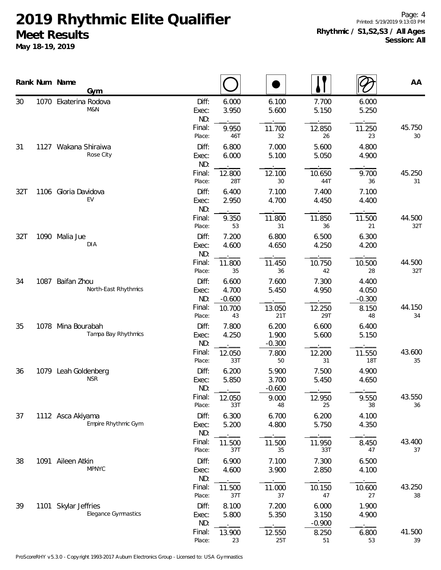**May 18-19, 2019**

Page: 4 Printed: 5/19/2019 9:13:03 PM **Rhythmic / S1,S2,S3 / All Ages Session: All**

|     |      | Rank Num Name<br>Gym                      |                       |                            |                            |                            |                            | AA            |
|-----|------|-------------------------------------------|-----------------------|----------------------------|----------------------------|----------------------------|----------------------------|---------------|
| 30  |      | 1070 Ekaterina Rodova<br>M&N              | Diff:<br>Exec:<br>ND: | 6.000<br>3.950             | 6.100<br>5.600             | 7.700<br>5.150             | 6.000<br>5.250             |               |
|     |      |                                           | Final:<br>Place:      | 9.950<br>46T               | 11.700<br>32               | 12.850<br>26               | 11.250<br>23               | 45.750<br>30  |
| 31  |      | 1127 Wakana Shiraiwa<br>Rose City         | Diff:<br>Exec:<br>ND: | 6.800<br>6.000             | 7.000<br>5.100             | 5.600<br>5.050             | 4.800<br>4.900             |               |
|     |      |                                           | Final:<br>Place:      | 12.800<br>28T              | 12.100<br>30               | 10.650<br>44T              | 9.700<br>36                | 45.250<br>31  |
| 32T |      | 1106 Gloria Davidova<br>EV                | Diff:<br>Exec:<br>ND: | 6.400<br>2.950             | 7.100<br>4.700             | 7.400<br>4.450             | 7.100<br>4.400             |               |
|     |      |                                           | Final:<br>Place:      | 9.350<br>53                | 11.800<br>31               | 11.850<br>36               | 11.500<br>21               | 44.500<br>32T |
| 32T |      | 1090 Malia Jue<br>DIA                     | Diff:<br>Exec:<br>ND: | 7.200<br>4.600             | 6.800<br>4.650             | 6.500<br>4.250             | 6.300<br>4.200             |               |
|     |      |                                           | Final:<br>Place:      | 11.800<br>35               | 11.450<br>36               | 10.750<br>42               | 10.500<br>28               | 44.500<br>32T |
| 34  | 1087 | Baifan Zhou<br>North-East Rhythmics       | Diff:<br>Exec:<br>ND: | 6.600<br>4.700<br>$-0.600$ | 7.600<br>5.450             | 7.300<br>4.950             | 4.400<br>4.050<br>$-0.300$ |               |
|     |      |                                           | Final:<br>Place:      | 10.700<br>43               | 13.050<br>21T              | 12.250<br>29T              | 8.150<br>48                | 44.150<br>34  |
| 35  |      | 1078 Mina Bourabah<br>Tampa Bay Rhythmics | Diff:<br>Exec:<br>ND: | 7.800<br>4.250             | 6.200<br>1.900<br>$-0.300$ | 6.600<br>5.600             | 6.400<br>5.150             |               |
|     |      |                                           | Final:<br>Place:      | 12.050<br>33T              | 7.800<br>50                | 12.200<br>31               | 11.550<br>18T              | 43.600<br>35  |
| 36  |      | 1079 Leah Goldenberg<br><b>NSR</b>        | Diff:<br>Exec:<br>ND: | 6.200<br>5.850             | 5.900<br>3.700<br>$-0.600$ | 7.500<br>5.450             | 4.900<br>4.650             |               |
|     |      |                                           | Final:<br>Place:      | 12.050<br>33T              | 9.000<br>48                | 12.950<br>25               | 9.550<br>38                | 43.550<br>36  |
| 37  |      | 1112 Asca Akiyama<br>Empire Rhythmic Gym  | Diff:<br>Exec:<br>ND: | 6.300<br>5.200             | 6.700<br>4.800             | 6.200<br>5.750             | 4.100<br>4.350             |               |
|     |      |                                           | Final:<br>Place:      | 11.500<br>37T              | 11.500<br>35               | 11.950<br>33T              | 8.450<br>47                | 43.400<br>37  |
| 38  |      | 1091 Aileen Atkin<br><b>MPNYC</b>         | Diff:<br>Exec:<br>ND: | 6.900<br>4.600             | 7.100<br>3.900             | 7.300<br>2.850             | 6.500<br>4.100             |               |
|     |      |                                           | Final:<br>Place:      | 11.500<br>37T              | 11.000<br>37               | 10.150<br>$47\,$           | 10.600<br>27               | 43.250<br>38  |
| 39  | 1101 | Skylar Jeffries<br>Elegance Gymnastics    | Diff:<br>Exec:<br>ND: | 8.100<br>5.800             | 7.200<br>5.350             | 6.000<br>3.150<br>$-0.900$ | 1.900<br>4.900             |               |
|     |      |                                           | Final:<br>Place:      | 13.900<br>23               | 12.550<br>25T              | 8.250<br>51                | 6.800<br>53                | 41.500<br>39  |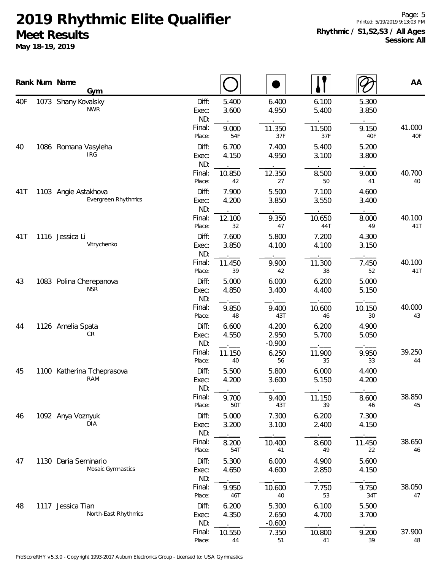**May 18-19, 2019**

Page: 5 Printed: 5/19/2019 9:13:03 PM **Rhythmic / S1,S2,S3 / All Ages Session: All**

|     |      | Rank Num Name<br>Gym                               |                       |                |                            |                |                | AA            |
|-----|------|----------------------------------------------------|-----------------------|----------------|----------------------------|----------------|----------------|---------------|
| 40F |      | 1073 Shany Kovalsky<br><b>NWR</b>                  | Diff:<br>Exec:<br>ND: | 5.400<br>3.600 | 6.400<br>4.950             | 6.100<br>5.400 | 5.300<br>3.850 |               |
|     |      |                                                    | Final:<br>Place:      | 9.000<br>54F   | 11.350<br>37F              | 11.500<br>37F  | 9.150<br>40F   | 41.000<br>40F |
| 40  |      | 1086 Romana Vasyleha<br><b>IRG</b>                 | Diff:<br>Exec:<br>ND: | 6.700<br>4.150 | 7.400<br>4.950             | 5.400<br>3.100 | 5.200<br>3.800 |               |
|     |      |                                                    | Final:<br>Place:      | 10.850<br>42   | 12.350<br>27               | 8.500<br>50    | 9.000<br>41    | 40.700<br>40  |
| 41T |      | 1103 Angie Astakhova<br><b>Evergreen Rhythmics</b> | Diff:<br>Exec:<br>ND: | 7.900<br>4.200 | 5.500<br>3.850             | 7.100<br>3.550 | 4.600<br>3.400 |               |
|     |      |                                                    | Final:<br>Place:      | 12.100<br>32   | 9.350<br>47                | 10.650<br>44T  | 8.000<br>49    | 40.100<br>41T |
| 41T |      | 1116 Jessica Li<br>Vitrychenko                     | Diff:<br>Exec:<br>ND: | 7.600<br>3.850 | 5.800<br>4.100             | 7.200<br>4.100 | 4.300<br>3.150 |               |
|     |      |                                                    | Final:<br>Place:      | 11.450<br>39   | 9.900<br>42                | 11.300<br>38   | 7.450<br>52    | 40.100<br>41T |
| 43  |      | 1083 Polina Cherepanova<br><b>NSR</b>              | Diff:<br>Exec:<br>ND: | 5.000<br>4.850 | 6.000<br>3.400             | 6.200<br>4.400 | 5.000<br>5.150 |               |
|     |      |                                                    | Final:<br>Place:      | 9.850<br>48    | 9.400<br>43T               | 10.600<br>46   | 10.150<br>30   | 40.000<br>43  |
| 44  |      | 1126 Amelia Spata<br>CR                            | Diff:<br>Exec:<br>ND: | 6.600<br>4.550 | 4.200<br>2.950<br>$-0.900$ | 6.200<br>5.700 | 4.900<br>5.050 |               |
|     |      |                                                    | Final:<br>Place:      | 11.150<br>40   | 6.250<br>56                | 11.900<br>35   | 9.950<br>33    | 39.250<br>44  |
| 45  |      | 1100 Katherina Tcheprasova<br>RAM                  | Diff:<br>Exec:<br>ND: | 5.500<br>4.200 | 5.800<br>3.600             | 6.000<br>5.150 | 4.400<br>4.200 |               |
|     |      |                                                    | Final:<br>Place:      | 9.700<br>50T   | 9.400<br>43T               | 11.150<br>39   | 8.600<br>46    | 38.850<br>45  |
| 46  |      | 1092 Anya Voznyuk<br><b>DIA</b>                    | Diff:<br>Exec:<br>ND: | 5.000<br>3.200 | 7.300<br>3.100             | 6.200<br>2.400 | 7.300<br>4.150 |               |
|     |      |                                                    | Final:<br>Place:      | 8.200<br>54T   | 10.400<br>41               | 8.600<br>49    | 11.450<br>22   | 38.650<br>46  |
| 47  | 1130 | Daria Seminario<br>Mosaic Gymnastics               | Diff:<br>Exec:<br>ND: | 5.300<br>4.650 | 6.000<br>4.600             | 4.900<br>2.850 | 5.600<br>4.150 |               |
|     |      |                                                    | Final:<br>Place:      | 9.950<br>46T   | 10.600<br>40               | 7.750<br>53    | 9.750<br>34T   | 38.050<br>47  |
| 48  |      | 1117 Jessica Tian<br>North-East Rhythmics          | Diff:<br>Exec:<br>ND: | 6.200<br>4.350 | 5.300<br>2.650<br>$-0.600$ | 6.100<br>4.700 | 5.500<br>3.700 |               |
|     |      |                                                    | Final:<br>Place:      | 10.550<br>44   | 7.350<br>51                | 10.800<br>41   | 9.200<br>39    | 37.900<br>48  |